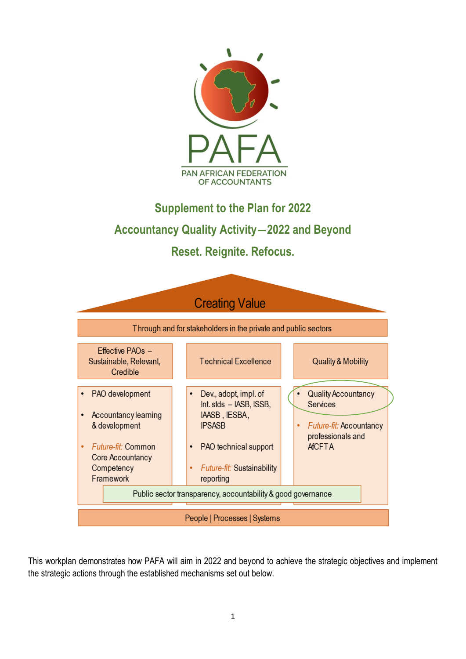

# **Supplement to the Plan for 2022 Accountancy Quality Activity―2022 and Beyond**

### **Reset. Reignite. Refocus.**



This workplan demonstrates how PAFA will aim in 2022 and beyond to achieve the strategic objectives and implement the strategic actions through the established mechanisms set out below.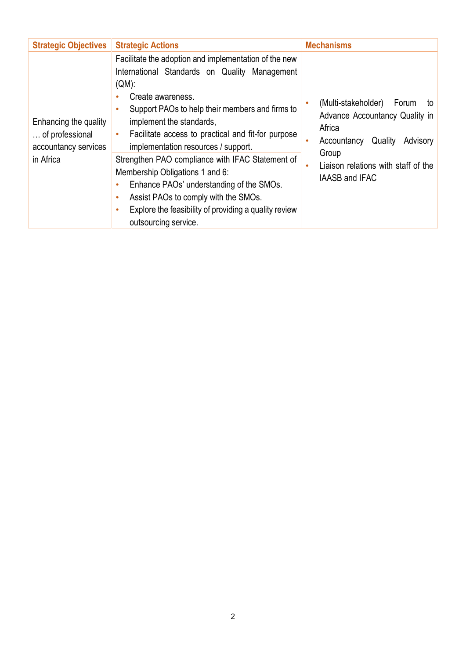| <b>Strategic Objectives</b>                                      | <b>Strategic Actions</b>                                                                                                                                                                                                                                                                                                      | <b>Mechanisms</b>                                                                                                    |  |
|------------------------------------------------------------------|-------------------------------------------------------------------------------------------------------------------------------------------------------------------------------------------------------------------------------------------------------------------------------------------------------------------------------|----------------------------------------------------------------------------------------------------------------------|--|
| Enhancing the quality<br>of professional<br>accountancy services | Facilitate the adoption and implementation of the new<br>International Standards on Quality Management<br>$(QM)$ :<br>Create awareness.<br>٠<br>Support PAOs to help their members and firms to<br>implement the standards,<br>Facilitate access to practical and fit-for purpose<br>۰<br>implementation resources / support. | (Multi-stakeholder)<br>Forum<br>to<br>Advance Accountancy Quality in<br>Africa<br>Quality<br>Advisory<br>Accountancy |  |
| in Africa                                                        | Strengthen PAO compliance with IFAC Statement of<br>Membership Obligations 1 and 6:<br>Enhance PAOs' understanding of the SMOs.<br>٠<br>Assist PAOs to comply with the SMOs.<br>٠<br>Explore the feasibility of providing a quality review<br>٠<br>outsourcing service.                                                       | Group<br>Liaison relations with staff of the<br><b>IAASB and IFAC</b>                                                |  |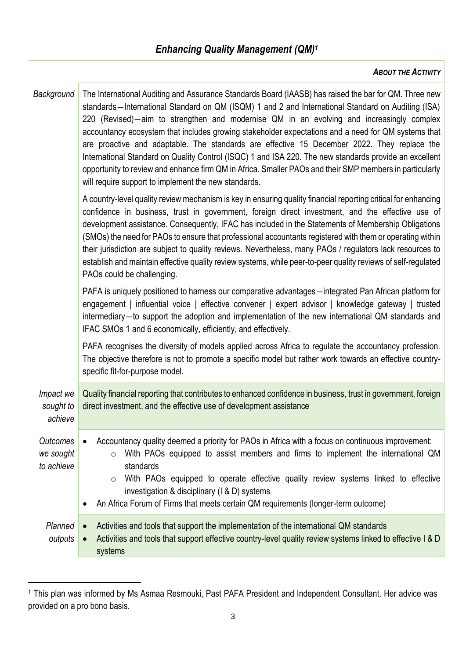### *ABOUT THE ACTIVITY*

| Background                          | The International Auditing and Assurance Standards Board (IAASB) has raised the bar for QM. Three new<br>standards-International Standard on QM (ISQM) 1 and 2 and International Standard on Auditing (ISA)<br>220 (Revised)—aim to strengthen and modernise QM in an evolving and increasingly complex<br>accountancy ecosystem that includes growing stakeholder expectations and a need for QM systems that<br>are proactive and adaptable. The standards are effective 15 December 2022. They replace the<br>International Standard on Quality Control (ISQC) 1 and ISA 220. The new standards provide an excellent<br>opportunity to review and enhance firm QM in Africa. Smaller PAOs and their SMP members in particularly<br>will require support to implement the new standards. |  |  |
|-------------------------------------|--------------------------------------------------------------------------------------------------------------------------------------------------------------------------------------------------------------------------------------------------------------------------------------------------------------------------------------------------------------------------------------------------------------------------------------------------------------------------------------------------------------------------------------------------------------------------------------------------------------------------------------------------------------------------------------------------------------------------------------------------------------------------------------------|--|--|
|                                     | A country-level quality review mechanism is key in ensuring quality financial reporting critical for enhancing<br>confidence in business, trust in government, foreign direct investment, and the effective use of<br>development assistance. Consequently, IFAC has included in the Statements of Membership Obligations<br>(SMOs) the need for PAOs to ensure that professional accountants registered with them or operating within<br>their jurisdiction are subject to quality reviews. Nevertheless, many PAOs / regulators lack resources to<br>establish and maintain effective quality review systems, while peer-to-peer quality reviews of self-regulated<br>PAOs could be challenging.                                                                                         |  |  |
|                                     | PAFA is uniquely positioned to harness our comparative advantages—integrated Pan African platform for<br>engagement   influential voice   effective convener   expert advisor   knowledge gateway   trusted<br>intermediary-to support the adoption and implementation of the new international QM standards and<br>IFAC SMOs 1 and 6 economically, efficiently, and effectively.                                                                                                                                                                                                                                                                                                                                                                                                          |  |  |
|                                     | PAFA recognises the diversity of models applied across Africa to regulate the accountancy profession.<br>The objective therefore is not to promote a specific model but rather work towards an effective country-<br>specific fit-for-purpose model.                                                                                                                                                                                                                                                                                                                                                                                                                                                                                                                                       |  |  |
| Impact we<br>sought to<br>achieve   | Quality financial reporting that contributes to enhanced confidence in business, trust in government, foreign<br>direct investment, and the effective use of development assistance                                                                                                                                                                                                                                                                                                                                                                                                                                                                                                                                                                                                        |  |  |
| Outcomes<br>we sought<br>to achieve | Accountancy quality deemed a priority for PAOs in Africa with a focus on continuous improvement:<br>With PAOs equipped to assist members and firms to implement the international QM<br>$\circ$<br>standards<br>With PAOs equipped to operate effective quality review systems linked to effective<br>$\circ$<br>investigation & disciplinary (1 & D) systems<br>An Africa Forum of Firms that meets certain QM requirements (longer-term outcome)                                                                                                                                                                                                                                                                                                                                         |  |  |
| Planned<br>outputs                  | Activities and tools that support the implementation of the international QM standards<br>$\bullet$<br>Activities and tools that support effective country-level quality review systems linked to effective I & D<br>$\bullet$<br>systems                                                                                                                                                                                                                                                                                                                                                                                                                                                                                                                                                  |  |  |

<sup>1</sup> This plan was informed by Ms Asmaa Resmouki, Past PAFA President and Independent Consultant. Her advice was provided on a pro bono basis.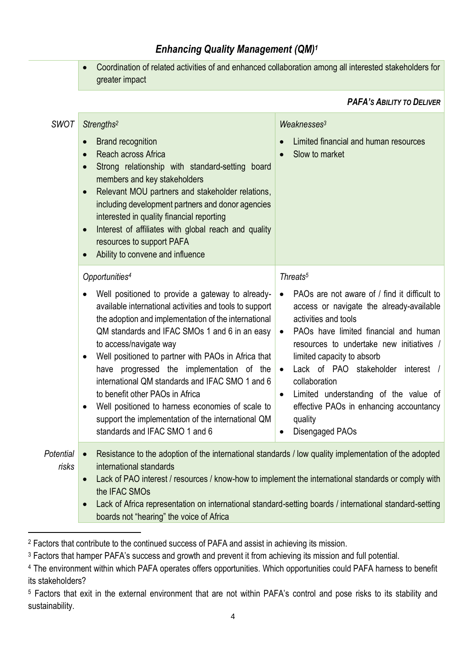### *Enhancing Quality Management (QM)<sup>1</sup>*

• Coordination of related activities of and enhanced collaboration among all interested stakeholders for greater impact

#### *PAFA'S ABILITY TO DELIVER*

| <b>SWOT</b>        | Strengths <sup>2</sup>                                                                                                                                                                                                                                                                                                                                                                                                                                                                                                                                                               | Weaknesses <sup>3</sup>                                                                                                                                                                                                                                                                                                                                                                                                                                                         |  |
|--------------------|--------------------------------------------------------------------------------------------------------------------------------------------------------------------------------------------------------------------------------------------------------------------------------------------------------------------------------------------------------------------------------------------------------------------------------------------------------------------------------------------------------------------------------------------------------------------------------------|---------------------------------------------------------------------------------------------------------------------------------------------------------------------------------------------------------------------------------------------------------------------------------------------------------------------------------------------------------------------------------------------------------------------------------------------------------------------------------|--|
|                    | <b>Brand recognition</b><br>Reach across Africa<br>$\bullet$<br>Strong relationship with standard-setting board<br>$\bullet$<br>members and key stakeholders<br>Relevant MOU partners and stakeholder relations,<br>$\bullet$<br>including development partners and donor agencies<br>interested in quality financial reporting<br>Interest of affiliates with global reach and quality<br>$\bullet$<br>resources to support PAFA<br>Ability to convene and influence                                                                                                                | Limited financial and human resources<br>Slow to market<br>$\bullet$                                                                                                                                                                                                                                                                                                                                                                                                            |  |
|                    | Opportunities <sup>4</sup>                                                                                                                                                                                                                                                                                                                                                                                                                                                                                                                                                           | Threats <sup>5</sup>                                                                                                                                                                                                                                                                                                                                                                                                                                                            |  |
|                    | Well positioned to provide a gateway to already-<br>available international activities and tools to support<br>the adoption and implementation of the international<br>QM standards and IFAC SMOs 1 and 6 in an easy<br>to access/navigate way<br>Well positioned to partner with PAOs in Africa that<br>have progressed the implementation of the<br>international QM standards and IFAC SMO 1 and 6<br>to benefit other PAOs in Africa<br>Well positioned to harness economies of scale to<br>support the implementation of the international QM<br>standards and IFAC SMO 1 and 6 | PAOs are not aware of / find it difficult to<br>$\bullet$<br>access or navigate the already-available<br>activities and tools<br>PAOs have limited financial and human<br>$\bullet$<br>resources to undertake new initiatives /<br>limited capacity to absorb<br>Lack of PAO stakeholder<br>interest /<br>$\bullet$<br>collaboration<br>Limited understanding of the value of<br>$\bullet$<br>effective PAOs in enhancing accountancy<br>quality<br><b>Disengaged PAOs</b><br>٠ |  |
| Potential<br>risks | Resistance to the adoption of the international standards / low quality implementation of the adopted<br>$\bullet$<br>international standards<br>Lack of PAO interest / resources / know-how to implement the international standards or comply with<br>the IFAC SMOs<br>Lack of Africa representation on international standard-setting boards / international standard-setting<br>boards not "hearing" the voice of Africa                                                                                                                                                         |                                                                                                                                                                                                                                                                                                                                                                                                                                                                                 |  |

<sup>2</sup> Factors that contribute to the continued success of PAFA and assist in achieving its mission.

<sup>&</sup>lt;sup>3</sup> Factors that hamper PAFA's success and growth and prevent it from achieving its mission and full potential.

<sup>4</sup> The environment within which PAFA operates offers opportunities. Which opportunities could PAFA harness to benefit its stakeholders?

<sup>5</sup> Factors that exit in the external environment that are not within PAFA's control and pose risks to its stability and sustainability.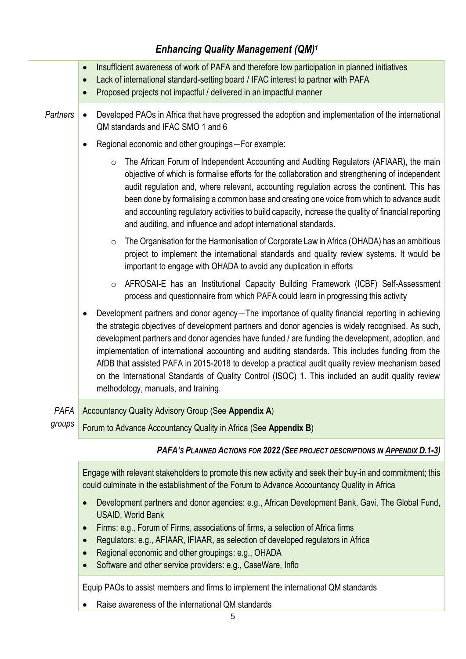### *Enhancing Quality Management (QM)<sup>1</sup>*

|                 | Insufficient awareness of work of PAFA and therefore low participation in planned initiatives<br>$\bullet$<br>Lack of international standard-setting board / IFAC interest to partner with PAFA<br>$\bullet$                                                                                                                                                                                                                                                                                                                                                                                                                                                                 |  |  |  |
|-----------------|------------------------------------------------------------------------------------------------------------------------------------------------------------------------------------------------------------------------------------------------------------------------------------------------------------------------------------------------------------------------------------------------------------------------------------------------------------------------------------------------------------------------------------------------------------------------------------------------------------------------------------------------------------------------------|--|--|--|
| <b>Partners</b> | Proposed projects not impactful / delivered in an impactful manner<br>$\bullet$<br>Developed PAOs in Africa that have progressed the adoption and implementation of the international<br>$\bullet$<br>QM standards and IFAC SMO 1 and 6                                                                                                                                                                                                                                                                                                                                                                                                                                      |  |  |  |
|                 | Regional economic and other groupings-For example:<br>$\bullet$                                                                                                                                                                                                                                                                                                                                                                                                                                                                                                                                                                                                              |  |  |  |
|                 | The African Forum of Independent Accounting and Auditing Regulators (AFIAAR), the main<br>$\circ$<br>objective of which is formalise efforts for the collaboration and strengthening of independent<br>audit regulation and, where relevant, accounting regulation across the continent. This has<br>been done by formalising a common base and creating one voice from which to advance audit<br>and accounting regulatory activities to build capacity, increase the quality of financial reporting<br>and auditing, and influence and adopt international standards.                                                                                                      |  |  |  |
|                 | The Organisation for the Harmonisation of Corporate Law in Africa (OHADA) has an ambitious<br>$\circ$<br>project to implement the international standards and quality review systems. It would be<br>important to engage with OHADA to avoid any duplication in efforts                                                                                                                                                                                                                                                                                                                                                                                                      |  |  |  |
|                 | AFROSAI-E has an Institutional Capacity Building Framework (ICBF) Self-Assessment<br>$\circ$<br>process and questionnaire from which PAFA could learn in progressing this activity                                                                                                                                                                                                                                                                                                                                                                                                                                                                                           |  |  |  |
|                 | Development partners and donor agency-The importance of quality financial reporting in achieving<br>$\bullet$<br>the strategic objectives of development partners and donor agencies is widely recognised. As such,<br>development partners and donor agencies have funded / are funding the development, adoption, and<br>implementation of international accounting and auditing standards. This includes funding from the<br>AfDB that assisted PAFA in 2015-2018 to develop a practical audit quality review mechanism based<br>on the International Standards of Quality Control (ISQC) 1. This included an audit quality review<br>methodology, manuals, and training. |  |  |  |
| PAFA            | Accountancy Quality Advisory Group (See Appendix A)                                                                                                                                                                                                                                                                                                                                                                                                                                                                                                                                                                                                                          |  |  |  |
| groups          | Forum to Advance Accountancy Quality in Africa (See Appendix B)                                                                                                                                                                                                                                                                                                                                                                                                                                                                                                                                                                                                              |  |  |  |
|                 | PAFA's PLANNED ACTIONS FOR 2022 (SEE PROJECT DESCRIPTIONS IN APPENDIX D.1-3)                                                                                                                                                                                                                                                                                                                                                                                                                                                                                                                                                                                                 |  |  |  |
|                 | Engage with relevant stakeholders to promote this new activity and seek their buy-in and commitment; this<br>could culminate in the establishment of the Forum to Advance Accountancy Quality in Africa                                                                                                                                                                                                                                                                                                                                                                                                                                                                      |  |  |  |
|                 | Development partners and donor agencies: e.g., African Development Bank, Gavi, The Global Fund,<br>$\bullet$<br><b>USAID, World Bank</b>                                                                                                                                                                                                                                                                                                                                                                                                                                                                                                                                     |  |  |  |
|                 | Firms: e.g., Forum of Firms, associations of firms, a selection of Africa firms<br>$\bullet$                                                                                                                                                                                                                                                                                                                                                                                                                                                                                                                                                                                 |  |  |  |
|                 | Regulators: e.g., AFIAAR, IFIAAR, as selection of developed regulators in Africa<br>$\bullet$<br>Regional economic and other groupings: e.g., OHADA<br>$\bullet$                                                                                                                                                                                                                                                                                                                                                                                                                                                                                                             |  |  |  |

• Software and other service providers: e.g., CaseWare, Inflo

Equip PAOs to assist members and firms to implement the international QM standards

• Raise awareness of the international QM standards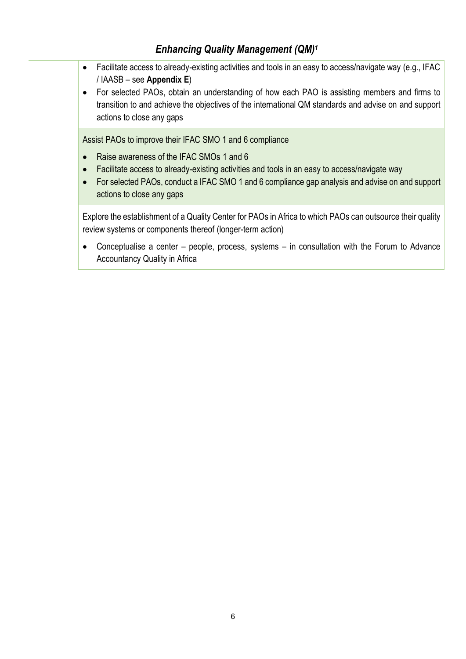### *Enhancing Quality Management (QM)<sup>1</sup>*

- Facilitate access to already-existing activities and tools in an easy to access/navigate way (e.g., IFAC / IAASB – see **Appendix E**)
- For selected PAOs, obtain an understanding of how each PAO is assisting members and firms to transition to and achieve the objectives of the international QM standards and advise on and support actions to close any gaps

Assist PAOs to improve their IFAC SMO 1 and 6 compliance

- Raise awareness of the IFAC SMOs 1 and 6
- Facilitate access to already-existing activities and tools in an easy to access/navigate way
- For selected PAOs, conduct a IFAC SMO 1 and 6 compliance gap analysis and advise on and support actions to close any gaps

Explore the establishment of a Quality Center for PAOs in Africa to which PAOs can outsource their quality review systems or components thereof (longer-term action)

• Conceptualise a center – people, process, systems – in consultation with the Forum to Advance Accountancy Quality in Africa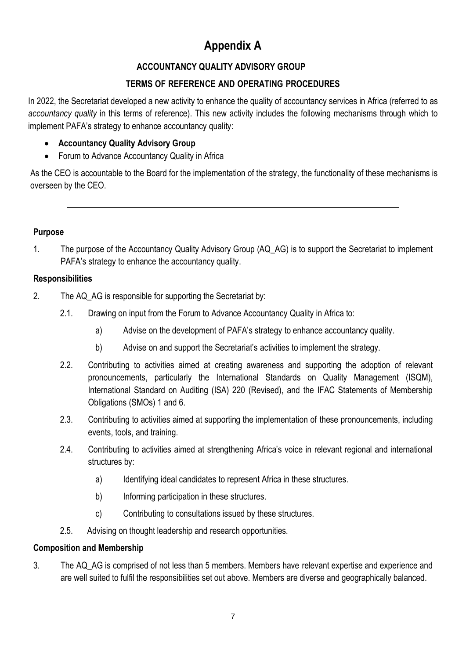# **Appendix A**

### **ACCOUNTANCY QUALITY ADVISORY GROUP**

### **TERMS OF REFERENCE AND OPERATING PROCEDURES**

In 2022, the Secretariat developed a new activity to enhance the quality of accountancy services in Africa (referred to as *accountancy quality* in this terms of reference). This new activity includes the following mechanisms through which to implement PAFA's strategy to enhance accountancy quality:

- **Accountancy Quality Advisory Group**
- Forum to Advance Accountancy Quality in Africa

As the CEO is accountable to the Board for the implementation of the strategy, the functionality of these mechanisms is overseen by the CEO.

### **Purpose**

1. The purpose of the Accountancy Quality Advisory Group (AQ\_AG) is to support the Secretariat to implement PAFA's strategy to enhance the accountancy quality.

### **Responsibilities**

- 2. The AQ AG is responsible for supporting the Secretariat by:
	- 2.1. Drawing on input from the Forum to Advance Accountancy Quality in Africa to:
		- a) Advise on the development of PAFA's strategy to enhance accountancy quality.
		- b) Advise on and support the Secretariat's activities to implement the strategy.
	- 2.2. Contributing to activities aimed at creating awareness and supporting the adoption of relevant pronouncements, particularly the International Standards on Quality Management (ISQM), International Standard on Auditing (ISA) 220 (Revised), and the IFAC Statements of Membership Obligations (SMOs) 1 and 6.
	- 2.3. Contributing to activities aimed at supporting the implementation of these pronouncements, including events, tools, and training.
	- 2.4. Contributing to activities aimed at strengthening Africa's voice in relevant regional and international structures by:
		- a) Identifying ideal candidates to represent Africa in these structures.
		- b) Informing participation in these structures.
		- c) Contributing to consultations issued by these structures.
	- 2.5. Advising on thought leadership and research opportunities.

### **Composition and Membership**

3. The AQ\_AG is comprised of not less than 5 members. Members have relevant expertise and experience and are well suited to fulfil the responsibilities set out above. Members are diverse and geographically balanced.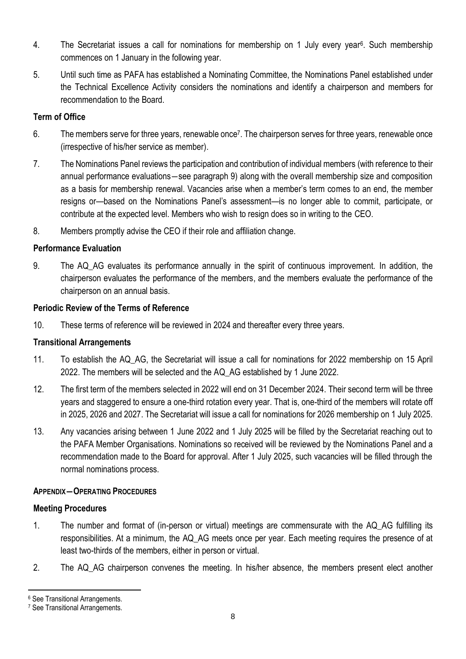- 4. The Secretariat issues a call for nominations for membership on 1 July every year<sup>6</sup> . Such membership commences on 1 January in the following year.
- 5. Until such time as PAFA has established a Nominating Committee, the Nominations Panel established under the Technical Excellence Activity considers the nominations and identify a chairperson and members for recommendation to the Board.

### **Term of Office**

- 6. The members serve for three years, renewable once<sup>7</sup>. The chairperson serves for three years, renewable once (irrespective of his/her service as member).
- 7. The Nominations Panel reviews the participation and contribution of individual members (with reference to their annual performance evaluations―see paragraph 9) along with the overall membership size and composition as a basis for membership renewal. Vacancies arise when a member's term comes to an end, the member resigns or—based on the Nominations Panel's assessment—is no longer able to commit, participate, or contribute at the expected level. Members who wish to resign does so in writing to the CEO.
- 8. Members promptly advise the CEO if their role and affiliation change.

### **Performance Evaluation**

9. The AQ\_AG evaluates its performance annually in the spirit of continuous improvement. In addition, the chairperson evaluates the performance of the members, and the members evaluate the performance of the chairperson on an annual basis.

### **Periodic Review of the Terms of Reference**

10. These terms of reference will be reviewed in 2024 and thereafter every three years.

### **Transitional Arrangements**

- 11. To establish the AQ\_AG, the Secretariat will issue a call for nominations for 2022 membership on 15 April 2022. The members will be selected and the AQ\_AG established by 1 June 2022.
- 12. The first term of the members selected in 2022 will end on 31 December 2024. Their second term will be three years and staggered to ensure a one-third rotation every year. That is, one-third of the members will rotate off in 2025, 2026 and 2027. The Secretariat will issue a call for nominations for 2026 membership on 1 July 2025.
- 13. Any vacancies arising between 1 June 2022 and 1 July 2025 will be filled by the Secretariat reaching out to the PAFA Member Organisations. Nominations so received will be reviewed by the Nominations Panel and a recommendation made to the Board for approval. After 1 July 2025, such vacancies will be filled through the normal nominations process.

### **APPENDIX―OPERATING PROCEDURES**

### **Meeting Procedures**

- 1. The number and format of (in-person or virtual) meetings are commensurate with the AQ\_AG fulfilling its responsibilities. At a minimum, the AQ\_AG meets once per year. Each meeting requires the presence of at least two-thirds of the members, either in person or virtual.
- 2. The AQ\_AG chairperson convenes the meeting. In his/her absence, the members present elect another

<sup>6</sup> See Transitional Arrangements.

<sup>7</sup> See Transitional Arrangements.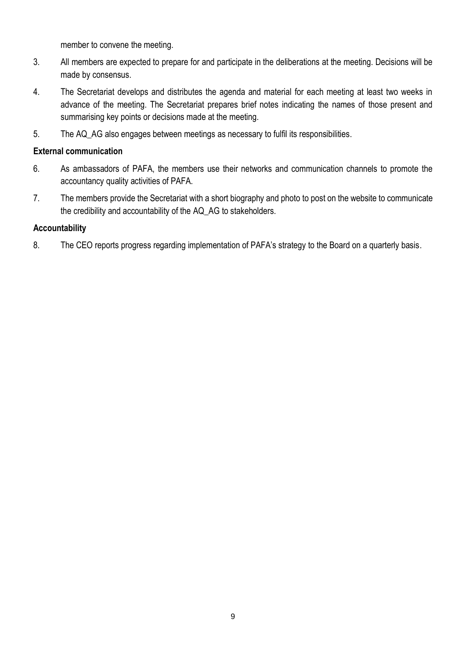member to convene the meeting.

- 3. All members are expected to prepare for and participate in the deliberations at the meeting. Decisions will be made by consensus.
- 4. The Secretariat develops and distributes the agenda and material for each meeting at least two weeks in advance of the meeting. The Secretariat prepares brief notes indicating the names of those present and summarising key points or decisions made at the meeting.
- 5. The AQ\_AG also engages between meetings as necessary to fulfil its responsibilities.

### **External communication**

- 6. As ambassadors of PAFA, the members use their networks and communication channels to promote the accountancy quality activities of PAFA.
- 7. The members provide the Secretariat with a short biography and photo to post on the website to communicate the credibility and accountability of the AQ\_AG to stakeholders.

### **Accountability**

8. The CEO reports progress regarding implementation of PAFA's strategy to the Board on a quarterly basis.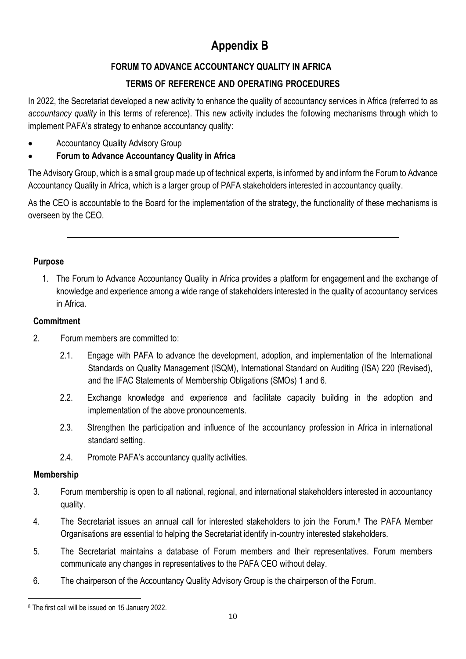# **Appendix B**

### **FORUM TO ADVANCE ACCOUNTANCY QUALITY IN AFRICA**

### **TERMS OF REFERENCE AND OPERATING PROCEDURES**

In 2022, the Secretariat developed a new activity to enhance the quality of accountancy services in Africa (referred to as *accountancy quality* in this terms of reference). This new activity includes the following mechanisms through which to implement PAFA's strategy to enhance accountancy quality:

• Accountancy Quality Advisory Group

### • **Forum to Advance Accountancy Quality in Africa**

The Advisory Group, which is a small group made up of technical experts, is informed by and inform the Forum to Advance Accountancy Quality in Africa, which is a larger group of PAFA stakeholders interested in accountancy quality.

As the CEO is accountable to the Board for the implementation of the strategy, the functionality of these mechanisms is overseen by the CEO.

### **Purpose**

1. The Forum to Advance Accountancy Quality in Africa provides a platform for engagement and the exchange of knowledge and experience among a wide range of stakeholders interested in the quality of accountancy services in Africa.

### **Commitment**

- 2. Forum members are committed to:
	- 2.1. Engage with PAFA to advance the development, adoption, and implementation of the International Standards on Quality Management (ISQM), International Standard on Auditing (ISA) 220 (Revised), and the IFAC Statements of Membership Obligations (SMOs) 1 and 6.
	- 2.2. Exchange knowledge and experience and facilitate capacity building in the adoption and implementation of the above pronouncements.
	- 2.3. Strengthen the participation and influence of the accountancy profession in Africa in international standard setting.
	- 2.4. Promote PAFA's accountancy quality activities.

### **Membership**

- 3. Forum membership is open to all national, regional, and international stakeholders interested in accountancy quality.
- 4. The Secretariat issues an annual call for interested stakeholders to join the Forum.<sup>8</sup> The PAFA Member Organisations are essential to helping the Secretariat identify in-country interested stakeholders.
- 5. The Secretariat maintains a database of Forum members and their representatives. Forum members communicate any changes in representatives to the PAFA CEO without delay.
- 6. The chairperson of the Accountancy Quality Advisory Group is the chairperson of the Forum.

<sup>8</sup> The first call will be issued on 15 January 2022.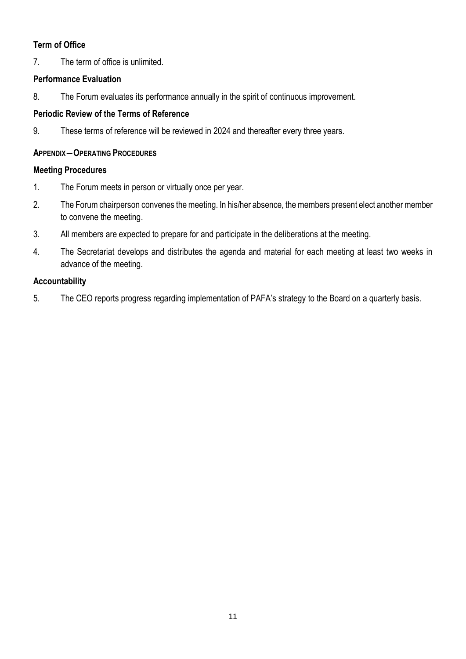### **Term of Office**

7. The term of office is unlimited.

### **Performance Evaluation**

8. The Forum evaluates its performance annually in the spirit of continuous improvement.

### **Periodic Review of the Terms of Reference**

9. These terms of reference will be reviewed in 2024 and thereafter every three years.

### **APPENDIX―OPERATING PROCEDURES**

### **Meeting Procedures**

- 1. The Forum meets in person or virtually once per year.
- 2. The Forum chairperson convenes the meeting. In his/her absence, the members present elect another member to convene the meeting.
- 3. All members are expected to prepare for and participate in the deliberations at the meeting.
- 4. The Secretariat develops and distributes the agenda and material for each meeting at least two weeks in advance of the meeting.

### **Accountability**

5. The CEO reports progress regarding implementation of PAFA's strategy to the Board on a quarterly basis.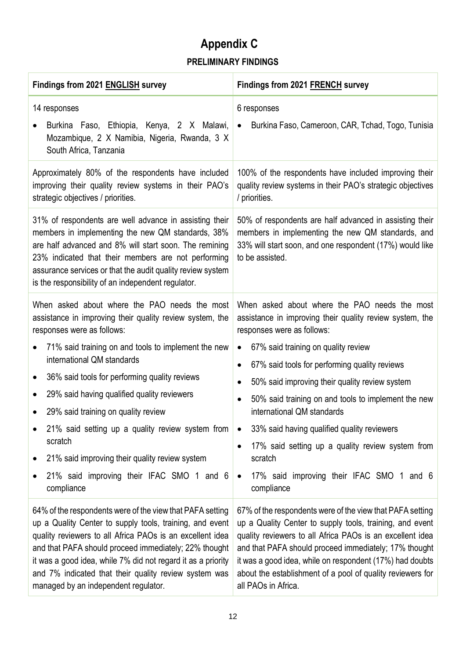# **Appendix C PRELIMINARY FINDINGS**

| Findings from 2021 ENGLISH survey                                                                                                                                                                                                                                                                                                                                                                                                                                                                                                               | Findings from 2021 FRENCH survey                                                                                                                                                                                                                                                                                                                                                                                                                                                                                                                                                                                                           |  |
|-------------------------------------------------------------------------------------------------------------------------------------------------------------------------------------------------------------------------------------------------------------------------------------------------------------------------------------------------------------------------------------------------------------------------------------------------------------------------------------------------------------------------------------------------|--------------------------------------------------------------------------------------------------------------------------------------------------------------------------------------------------------------------------------------------------------------------------------------------------------------------------------------------------------------------------------------------------------------------------------------------------------------------------------------------------------------------------------------------------------------------------------------------------------------------------------------------|--|
| 14 responses<br>Burkina Faso, Ethiopia, Kenya, 2 X Malawi,<br>Mozambique, 2 X Namibia, Nigeria, Rwanda, 3 X<br>South Africa, Tanzania                                                                                                                                                                                                                                                                                                                                                                                                           | 6 responses<br>Burkina Faso, Cameroon, CAR, Tchad, Togo, Tunisia<br>$\bullet$                                                                                                                                                                                                                                                                                                                                                                                                                                                                                                                                                              |  |
| Approximately 80% of the respondents have included<br>improving their quality review systems in their PAO's<br>strategic objectives / priorities.                                                                                                                                                                                                                                                                                                                                                                                               | 100% of the respondents have included improving their<br>quality review systems in their PAO's strategic objectives<br>/ priorities.                                                                                                                                                                                                                                                                                                                                                                                                                                                                                                       |  |
| 31% of respondents are well advance in assisting their<br>members in implementing the new QM standards, 38%<br>are half advanced and 8% will start soon. The remining<br>23% indicated that their members are not performing<br>assurance services or that the audit quality review system<br>is the responsibility of an independent regulator.                                                                                                                                                                                                | 50% of respondents are half advanced in assisting their<br>members in implementing the new QM standards, and<br>33% will start soon, and one respondent (17%) would like<br>to be assisted.                                                                                                                                                                                                                                                                                                                                                                                                                                                |  |
| When asked about where the PAO needs the most<br>assistance in improving their quality review system, the<br>responses were as follows:<br>71% said training on and tools to implement the new<br>international QM standards<br>36% said tools for performing quality reviews<br>29% said having qualified quality reviewers<br>29% said training on quality review<br>21% said setting up a quality review system from<br>scratch<br>21% said improving their quality review system<br>21% said improving their IFAC SMO 1 and 6<br>compliance | When asked about where the PAO needs the most<br>assistance in improving their quality review system, the<br>responses were as follows:<br>67% said training on quality review<br>$\bullet$<br>67% said tools for performing quality reviews<br>$\bullet$<br>50% said improving their quality review system<br>$\bullet$<br>50% said training on and tools to implement the new<br>$\bullet$<br>international QM standards<br>33% said having qualified quality reviewers<br>$\bullet$<br>17% said setting up a quality review system from<br>$\bullet$<br>scratch<br>17% said improving their IFAC SMO 1 and 6<br>$\bullet$<br>compliance |  |
| 64% of the respondents were of the view that PAFA setting<br>up a Quality Center to supply tools, training, and event<br>quality reviewers to all Africa PAOs is an excellent idea<br>and that PAFA should proceed immediately; 22% thought<br>it was a good idea, while 7% did not regard it as a priority<br>and 7% indicated that their quality review system was<br>managed by an independent regulator.                                                                                                                                    | 67% of the respondents were of the view that PAFA setting<br>up a Quality Center to supply tools, training, and event<br>quality reviewers to all Africa PAOs is an excellent idea<br>and that PAFA should proceed immediately; 17% thought<br>it was a good idea, while on respondent (17%) had doubts<br>about the establishment of a pool of quality reviewers for<br>all PAOs in Africa.                                                                                                                                                                                                                                               |  |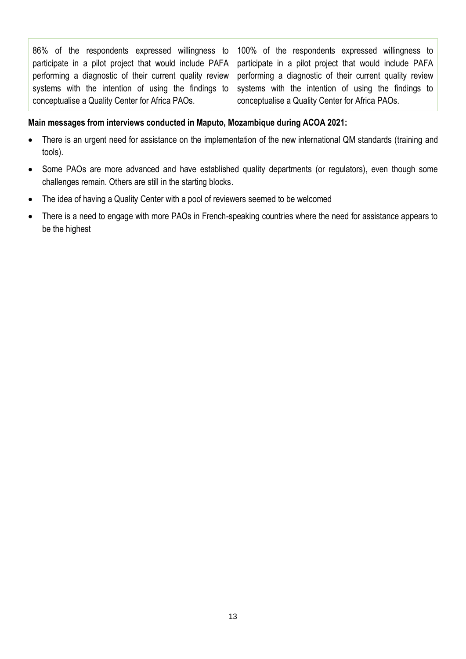86% of the respondents expressed willingness to participate in a pilot project that would include PAFA performing a diagnostic of their current quality review systems with the intention of using the findings to conceptualise a Quality Center for Africa PAOs. 100% of the respondents expressed willingness to participate in a pilot project that would include PAFA performing a diagnostic of their current quality review systems with the intention of using the findings to conceptualise a Quality Center for Africa PAOs.

#### **Main messages from interviews conducted in Maputo, Mozambique during ACOA 2021:**

- There is an urgent need for assistance on the implementation of the new international QM standards (training and tools).
- Some PAOs are more advanced and have established quality departments (or regulators), even though some challenges remain. Others are still in the starting blocks.
- The idea of having a Quality Center with a pool of reviewers seemed to be welcomed
- There is a need to engage with more PAOs in French-speaking countries where the need for assistance appears to be the highest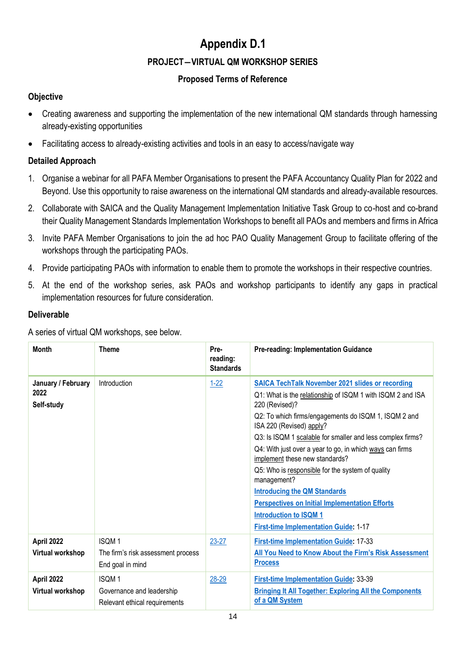# **Appendix D.1 PROJECT―VIRTUAL QM WORKSHOP SERIES**

### **Proposed Terms of Reference**

### **Objective**

- Creating awareness and supporting the implementation of the new international QM standards through harnessing already-existing opportunities
- Facilitating access to already-existing activities and tools in an easy to access/navigate way

### **Detailed Approach**

- 1. Organise a webinar for all PAFA Member Organisations to present the PAFA Accountancy Quality Plan for 2022 and Beyond. Use this opportunity to raise awareness on the international QM standards and already-available resources.
- 2. Collaborate with SAICA and the Quality Management Implementation Initiative Task Group to co-host and co-brand their Quality Management Standards Implementation Workshops to benefit all PAOs and members and firms in Africa
- 3. Invite PAFA Member Organisations to join the ad hoc PAO Quality Management Group to facilitate offering of the workshops through the participating PAOs.
- 4. Provide participating PAOs with information to enable them to promote the workshops in their respective countries.
- 5. At the end of the workshop series, ask PAOs and workshop participants to identify any gaps in practical implementation resources for future consideration.

### **Deliverable**

A series of virtual QM workshops, see below.

| <b>Month</b>                             | <b>Theme</b>                                                               | Pre-<br>reading:<br><b>Standards</b> | <b>Pre-reading: Implementation Guidance</b>                                                                                                                                                                                                                                                                                                                                                                                                                                                                                                                                                                                                |
|------------------------------------------|----------------------------------------------------------------------------|--------------------------------------|--------------------------------------------------------------------------------------------------------------------------------------------------------------------------------------------------------------------------------------------------------------------------------------------------------------------------------------------------------------------------------------------------------------------------------------------------------------------------------------------------------------------------------------------------------------------------------------------------------------------------------------------|
| January / February<br>2022<br>Self-study | <b>Introduction</b>                                                        | $1 - 22$                             | <b>SAICA TechTalk November 2021 slides or recording</b><br>Q1: What is the relationship of ISQM 1 with ISQM 2 and ISA<br>220 (Revised)?<br>Q2: To which firms/engagements do ISQM 1, ISQM 2 and<br>ISA 220 (Revised) apply?<br>Q3: Is ISQM 1 scalable for smaller and less complex firms?<br>Q4: With just over a year to go, in which ways can firms<br>implement these new standards?<br>Q5: Who is responsible for the system of quality<br>management?<br><b>Introducing the QM Standards</b><br><b>Perspectives on Initial Implementation Efforts</b><br><b>Introduction to ISQM1</b><br><b>First-time Implementation Guide: 1-17</b> |
| April 2022<br>Virtual workshop           | <b>ISQM1</b><br>The firm's risk assessment process<br>End goal in mind     | $23 - 27$                            | <b>First-time Implementation Guide: 17-33</b><br>All You Need to Know About the Firm's Risk Assessment<br><b>Process</b>                                                                                                                                                                                                                                                                                                                                                                                                                                                                                                                   |
| April 2022<br>Virtual workshop           | <b>ISQM1</b><br>Governance and leadership<br>Relevant ethical requirements | 28-29                                | <b>First-time Implementation Guide: 33-39</b><br><b>Bringing It All Together: Exploring All the Components</b><br>of a QM System                                                                                                                                                                                                                                                                                                                                                                                                                                                                                                           |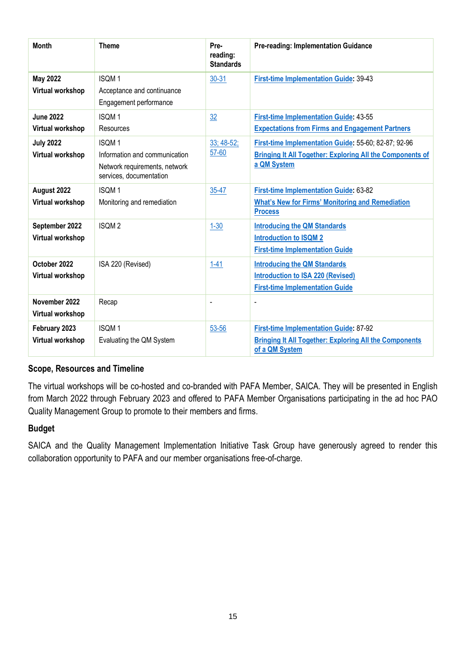| <b>Month</b>                         | <b>Theme</b>                                                                                              | Pre-<br>reading:<br><b>Standards</b> | <b>Pre-reading: Implementation Guidance</b>                                                                                             |
|--------------------------------------|-----------------------------------------------------------------------------------------------------------|--------------------------------------|-----------------------------------------------------------------------------------------------------------------------------------------|
| <b>May 2022</b><br>Virtual workshop  | <b>ISQM1</b><br>Acceptance and continuance<br>Engagement performance                                      | $30 - 31$                            | <b>First-time Implementation Guide: 39-43</b>                                                                                           |
| <b>June 2022</b><br>Virtual workshop | <b>ISQM1</b><br>Resources                                                                                 | 32                                   | <b>First-time Implementation Guide: 43-55</b><br><b>Expectations from Firms and Engagement Partners</b>                                 |
| <b>July 2022</b><br>Virtual workshop | <b>ISQM1</b><br>Information and communication<br>Network requirements, network<br>services, documentation | $33; 48-52;$<br>57-60                | First-time Implementation Guide: 55-60; 82-87; 92-96<br><b>Bringing It All Together: Exploring All the Components of</b><br>a QM System |
| August 2022<br>Virtual workshop      | <b>ISQM1</b><br>Monitoring and remediation                                                                | 35-47                                | <b>First-time Implementation Guide: 63-82</b><br><b>What's New for Firms' Monitoring and Remediation</b><br><b>Process</b>              |
| September 2022<br>Virtual workshop   | <b>ISQM2</b>                                                                                              | $1 - 30$                             | <b>Introducing the QM Standards</b><br><b>Introduction to ISQM 2</b><br><b>First-time Implementation Guide</b>                          |
| October 2022<br>Virtual workshop     | ISA 220 (Revised)                                                                                         | $1 - 41$                             | <b>Introducing the QM Standards</b><br><b>Introduction to ISA 220 (Revised)</b><br><b>First-time Implementation Guide</b>               |
| November 2022<br>Virtual workshop    | Recap                                                                                                     | $\overline{\phantom{0}}$             |                                                                                                                                         |
| February 2023<br>Virtual workshop    | <b>ISQM1</b><br>Evaluating the QM System                                                                  | $53 - 56$                            | <b>First-time Implementation Guide: 87-92</b><br><b>Bringing It All Together: Exploring All the Components</b><br>of a QM System        |

### **Scope, Resources and Timeline**

The virtual workshops will be co-hosted and co-branded with PAFA Member, SAICA. They will be presented in English from March 2022 through February 2023 and offered to PAFA Member Organisations participating in the ad hoc PAO Quality Management Group to promote to their members and firms.

#### **Budget**

SAICA and the Quality Management Implementation Initiative Task Group have generously agreed to render this collaboration opportunity to PAFA and our member organisations free-of-charge.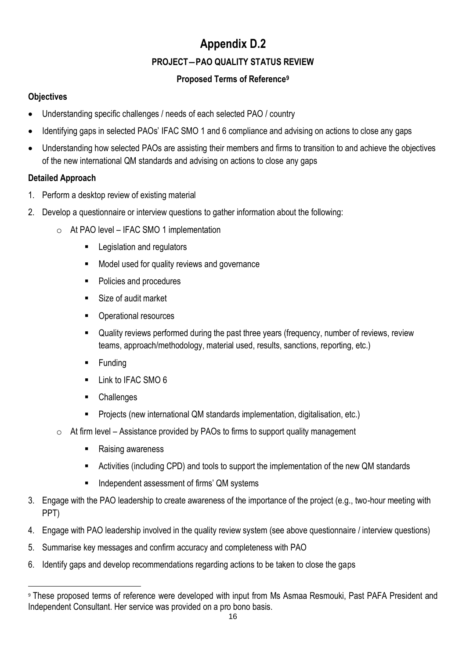## **Appendix D.2 PROJECT―PAO QUALITY STATUS REVIEW**

### **Proposed Terms of Reference<sup>9</sup>**

### **Objectives**

- Understanding specific challenges / needs of each selected PAO / country
- Identifying gaps in selected PAOs' IFAC SMO 1 and 6 compliance and advising on actions to close any gaps
- Understanding how selected PAOs are assisting their members and firms to transition to and achieve the objectives of the new international QM standards and advising on actions to close any gaps

### **Detailed Approach**

- 1. Perform a desktop review of existing material
- 2. Develop a questionnaire or interview questions to gather information about the following:
	- o At PAO level IFAC SMO 1 implementation
		- Legislation and regulators
		- Model used for quality reviews and governance
		- Policies and procedures
		- Size of audit market
		- Operational resources
		- Quality reviews performed during the past three years (frequency, number of reviews, review teams, approach/methodology, material used, results, sanctions, reporting, etc.)
		- **Funding**
		- Link to IFAC SMO 6
		- Challenges
		- Projects (new international QM standards implementation, digitalisation, etc.)
	- $\circ$  At firm level Assistance provided by PAOs to firms to support quality management
		- **Raising awareness**
		- Activities (including CPD) and tools to support the implementation of the new QM standards
		- Independent assessment of firms' QM systems
- 3. Engage with the PAO leadership to create awareness of the importance of the project (e.g., two-hour meeting with PPT)
- 4. Engage with PAO leadership involved in the quality review system (see above questionnaire / interview questions)
- 5. Summarise key messages and confirm accuracy and completeness with PAO
- 6. Identify gaps and develop recommendations regarding actions to be taken to close the gaps

<sup>9</sup> These proposed terms of reference were developed with input from Ms Asmaa Resmouki, Past PAFA President and Independent Consultant. Her service was provided on a pro bono basis.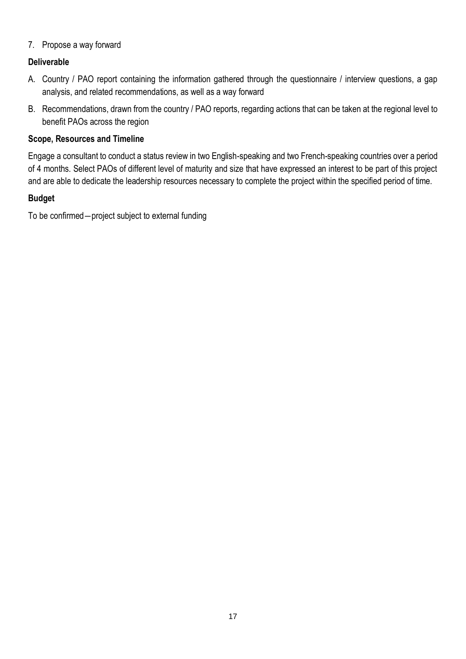### 7. Propose a way forward

### **Deliverable**

- A. Country / PAO report containing the information gathered through the questionnaire / interview questions, a gap analysis, and related recommendations, as well as a way forward
- B. Recommendations, drawn from the country / PAO reports, regarding actions that can be taken at the regional level to benefit PAOs across the region

#### **Scope, Resources and Timeline**

Engage a consultant to conduct a status review in two English-speaking and two French-speaking countries over a period of 4 months. Select PAOs of different level of maturity and size that have expressed an interest to be part of this project and are able to dedicate the leadership resources necessary to complete the project within the specified period of time.

### **Budget**

To be confirmed―project subject to external funding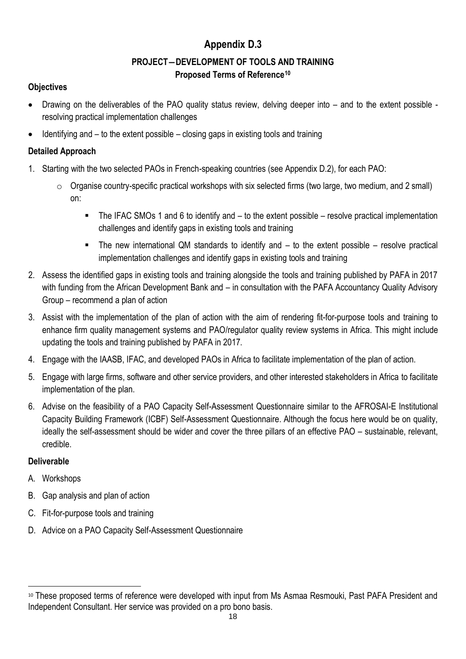### **Appendix D.3**

### **PROJECT―DEVELOPMENT OF TOOLS AND TRAINING Proposed Terms of Reference<sup>10</sup>**

### **Objectives**

- Drawing on the deliverables of the PAO quality status review, delving deeper into and to the extent possible resolving practical implementation challenges
- Identifying and to the extent possible closing gaps in existing tools and training

### **Detailed Approach**

- 1. Starting with the two selected PAOs in French-speaking countries (see Appendix D.2), for each PAO:
	- o Organise country-specific practical workshops with six selected firms (two large, two medium, and 2 small) on:
		- The IFAC SMOs 1 and 6 to identify and to the extent possible resolve practical implementation challenges and identify gaps in existing tools and training
		- The new international QM standards to identify and to the extent possible resolve practical implementation challenges and identify gaps in existing tools and training
- 2. Assess the identified gaps in existing tools and training alongside the tools and training published by PAFA in 2017 with funding from the African Development Bank and – in consultation with the PAFA Accountancy Quality Advisory Group – recommend a plan of action
- 3. Assist with the implementation of the plan of action with the aim of rendering fit-for-purpose tools and training to enhance firm quality management systems and PAO/regulator quality review systems in Africa. This might include updating the tools and training published by PAFA in 2017.
- 4. Engage with the IAASB, IFAC, and developed PAOs in Africa to facilitate implementation of the plan of action.
- 5. Engage with large firms, software and other service providers, and other interested stakeholders in Africa to facilitate implementation of the plan.
- 6. Advise on the feasibility of a PAO Capacity Self-Assessment Questionnaire similar to the AFROSAI-E Institutional Capacity Building Framework (ICBF) Self-Assessment Questionnaire. Although the focus here would be on quality, ideally the self-assessment should be wider and cover the three pillars of an effective PAO – sustainable, relevant, credible.

### **Deliverable**

- A. Workshops
- B. Gap analysis and plan of action
- C. Fit-for-purpose tools and training
- D. Advice on a PAO Capacity Self-Assessment Questionnaire

<sup>10</sup> These proposed terms of reference were developed with input from Ms Asmaa Resmouki, Past PAFA President and Independent Consultant. Her service was provided on a pro bono basis.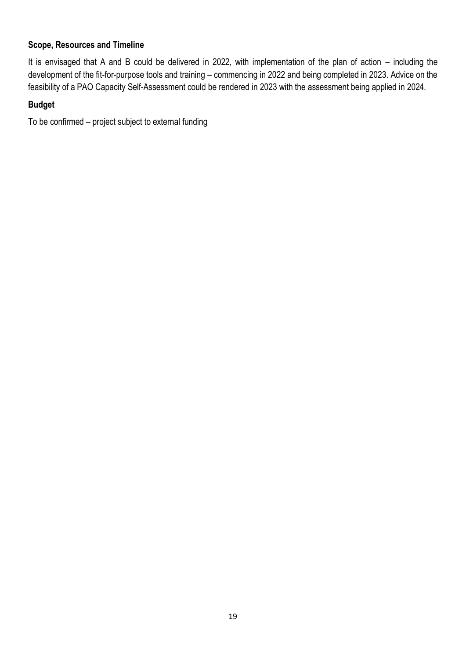### **Scope, Resources and Timeline**

It is envisaged that A and B could be delivered in 2022, with implementation of the plan of action – including the development of the fit-for-purpose tools and training – commencing in 2022 and being completed in 2023. Advice on the feasibility of a PAO Capacity Self-Assessment could be rendered in 2023 with the assessment being applied in 2024.

### **Budget**

To be confirmed – project subject to external funding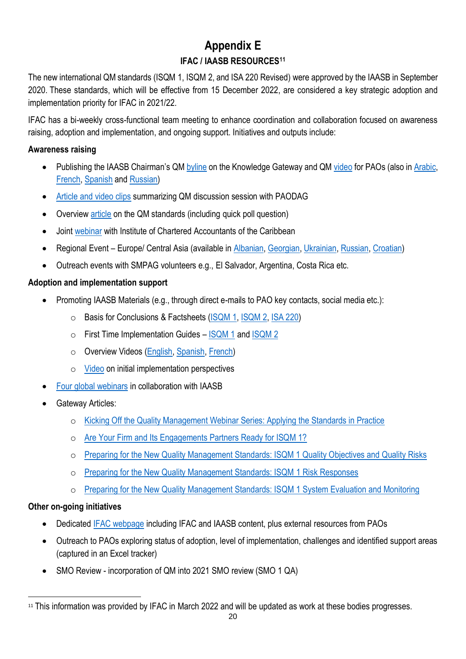### **Appendix E IFAC / IAASB RESOURCES<sup>11</sup>**

The new international QM standards (ISQM 1, ISQM 2, and ISA 220 Revised) were approved by the IAASB in September 2020. These standards, which will be effective from 15 December 2022, are considered a key strategic adoption and implementation priority for IFAC in 2021/22.

IFAC has a bi-weekly cross-functional team meeting to enhance coordination and collaboration focused on awareness raising, adoption and implementation, and ongoing support. Initiatives and outputs include:

### **Awareness raising**

- Publishing the IAASB Chairman's Q[M byline](https://www.ifac.org/knowledge-gateway/supporting-international-standards/discussion/new-standards-place-proactive-quality-management-will-underpin-next-era-audit-transformation) on the Knowledge Gateway and QM [video](https://youtu.be/PzH48p5dl8Q/) for PAOs (also i[n Arabic,](https://youtu.be/p_uKWpKMNMc) [French,](https://youtu.be/w1f4y9V7ccY) [Spanish](https://youtu.be/I-cnffe0EW0) an[d Russian\)](https://youtu.be/ZFKSta9YkTg)
- [Article and video clips](https://www.ifac.org/knowledge-gateway/supporting-international-standards/discussion/new-quality-management-standards-tremendous-opportunity-paos) summarizing QM discussion session with PAODAG
- Overview [article](https://www.ifac.org/knowledge-gateway/supporting-international-standards/discussion/getting-started-new-iaasb-quality-management-standards-overview) on the QM standards (including quick poll question)
- Joint [webinar](https://www.youtube.com/watch?v=eyCsZBPs960&feature=youtu.be) with Institute of Chartered Accountants of the Caribbean
- Regional Event Europe/ Central Asia (available in [Albanian,](https://youtu.be/xh9k_bU4RMo) [Georgian,](https://youtu.be/msEHHkdCFK4) [Ukrainian,](https://youtu.be/Y3-8PpwDXqk) [Russian,](https://youtu.be/jVCukKzZ2pM) [Croatian\)](https://youtu.be/d-A9cRzs7Lo)
- Outreach events with SMPAG volunteers e.g., El Salvador, Argentina, Costa Rica etc.

### **Adoption and implementation support**

- Promoting IAASB Materials (e.g., through direct e-mails to PAO key contacts, social media etc.):
	- o Basis for Conclusions & Factsheets [\(ISQM 1,](https://www.iaasb.org/publications/international-standard-quality-management-isqm-1-quality-management-firms-perform-audits-or-reviews) [ISQM 2,](https://www.iaasb.org/publications/international-standard-quality-management-isqm-2-enhancing-quality-reviews) [ISA 220\)](https://www.iaasb.org/publications/international-standard-auditing-220-revised-quality-management-audit-financial-statements)
	- $\circ$  First Time Implementation Guides [ISQM 1](https://www.iaasb.org/publications/isqm-1-first-time-implementation-guide) and [ISQM](https://www.iaasb.org/publications/isqm-2-first-time-implementation-guide) 2
	- o Overview Videos [\(English,](https://youtu.be/4BEC1xSbmCY) [Spanish,](https://www.youtube.com/watch?v=N10E8CE_CWA) [French\)](https://lnkd.in/gFPqFww)
	- o [Video](https://www.youtube.com/watch?v=WXZSc3sLQEU) on initial implementation perspectives
- [Four global webinars](https://www.iaasb.org/news-events/2021-06/upcoming-events-iaasb-quality-management-webinar-series-collaboration-ifac) in collaboration with IAASB
- Gateway Articles:
	- o [Kicking Off the Quality Management Webinar Series: Applying the Standards in Practice](https://www.ifac.org/knowledge-gateway/supporting-international-standards/discussion/kicking-quality-management-webinar-series-applying-standards-practice)
	- o [Are Your Firm and Its Engagements Partners Ready for ISQM 1?](https://www.ifac.org/knowledge-gateway/supporting-international-standards/discussion/are-your-firm-and-its-engagements-partners-ready-isqm-1-iaasb-ifac-second-quality-management-webinar)
	- o [Preparing for the New Quality Management Standards: ISQM 1 Quality Objectives and Quality Risks](https://www.ifac.org/knowledge-gateway/supporting-international-standards/discussion/preparing-new-quality-management-standards-isqm-1-quality-objectives-and-quality-risks)
	- o [Preparing for the New Quality Management Standards: ISQM](https://www.ifac.org/knowledge-gateway/supporting-international-standards/discussion/preparing-new-quality-management-standards-isqm-1-risk-responses) 1 Risk Responses
	- o [Preparing for the New Quality Management Standards: ISQM 1 System Evaluation and Monitoring](https://www.ifac.org/knowledge-gateway/supporting-international-standards/discussion/preparing-new-quality-management-standards-isqm-1-system-evaluation-and-monitoring)

### **Other on-going initiatives**

- Dedicated [IFAC webpage](https://www.ifac.org/knowledge-gateway/supporting-international-standards/discussion/quality-management) including IFAC and IAASB content, plus external resources from PAOs
- Outreach to PAOs exploring status of adoption, level of implementation, challenges and identified support areas (captured in an Excel tracker)
- SMO Review incorporation of QM into 2021 SMO review (SMO 1 QA)

<sup>&</sup>lt;sup>11</sup> This information was provided by IFAC in March 2022 and will be updated as work at these bodies progresses.